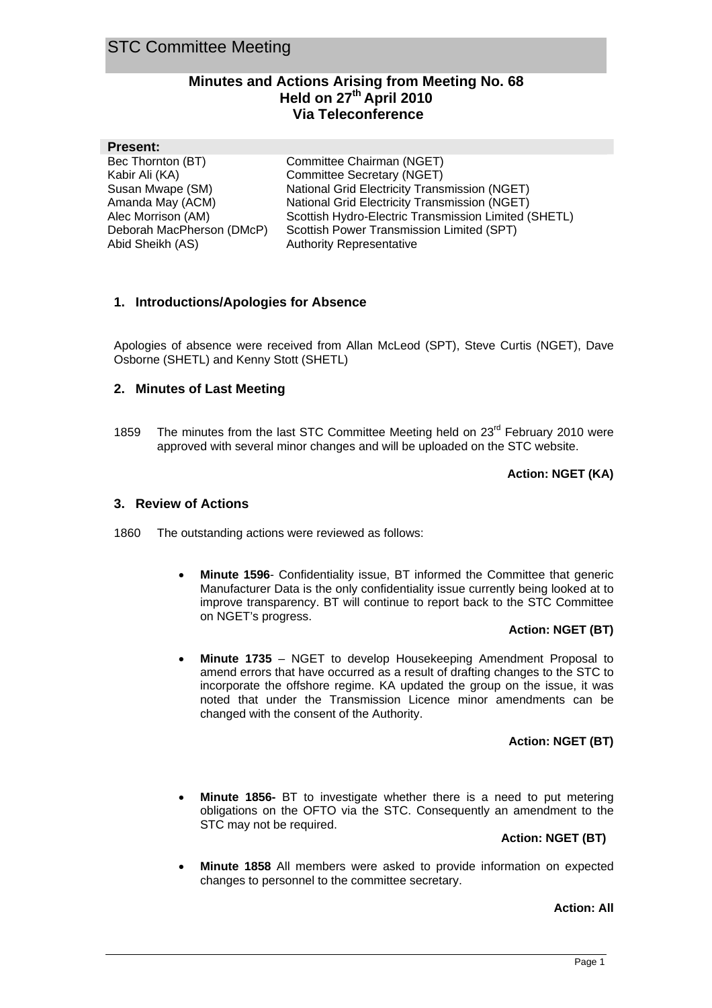# **Minutes and Actions Arising from Meeting No. 68 Held on 27th April 2010 Via Teleconference**

| <b>Present:</b>           |                                                      |
|---------------------------|------------------------------------------------------|
| Bec Thornton (BT)         | Committee Chairman (NGET)                            |
| Kabir Ali (KA)            | Committee Secretary (NGET)                           |
| Susan Mwape (SM)          | National Grid Electricity Transmission (NGET)        |
| Amanda May (ACM)          | National Grid Electricity Transmission (NGET)        |
| Alec Morrison (AM)        | Scottish Hydro-Electric Transmission Limited (SHETL) |
| Deborah MacPherson (DMcP) | Scottish Power Transmission Limited (SPT)            |
| Abid Sheikh (AS)          | <b>Authority Representative</b>                      |
|                           |                                                      |

#### **1. Introductions/Apologies for Absence**

Apologies of absence were received from Allan McLeod (SPT), Steve Curtis (NGET), Dave Osborne (SHETL) and Kenny Stott (SHETL)

#### **2. Minutes of Last Meeting**

1859 The minutes from the last STC Committee Meeting held on 23<sup>rd</sup> February 2010 were approved with several minor changes and will be uploaded on the STC website.

#### **Action: NGET (KA)**

#### **3. Review of Actions**

1860 The outstanding actions were reviewed as follows:

**Minute 1596**- Confidentiality issue, BT informed the Committee that generic Manufacturer Data is the only confidentiality issue currently being looked at to improve transparency. BT will continue to report back to the STC Committee on NGET's progress.

#### **Action: NGET (BT)**

• **Minute 1735** – NGET to develop Housekeeping Amendment Proposal to amend errors that have occurred as a result of drafting changes to the STC to incorporate the offshore regime. KA updated the group on the issue, it was noted that under the Transmission Licence minor amendments can be changed with the consent of the Authority.

#### **Action: NGET (BT)**

• **Minute 1856-** BT to investigate whether there is a need to put metering obligations on the OFTO via the STC. Consequently an amendment to the STC may not be required.

#### **Action: NGET (BT)**

• **Minute 1858** All members were asked to provide information on expected changes to personnel to the committee secretary.

#### **Action: All**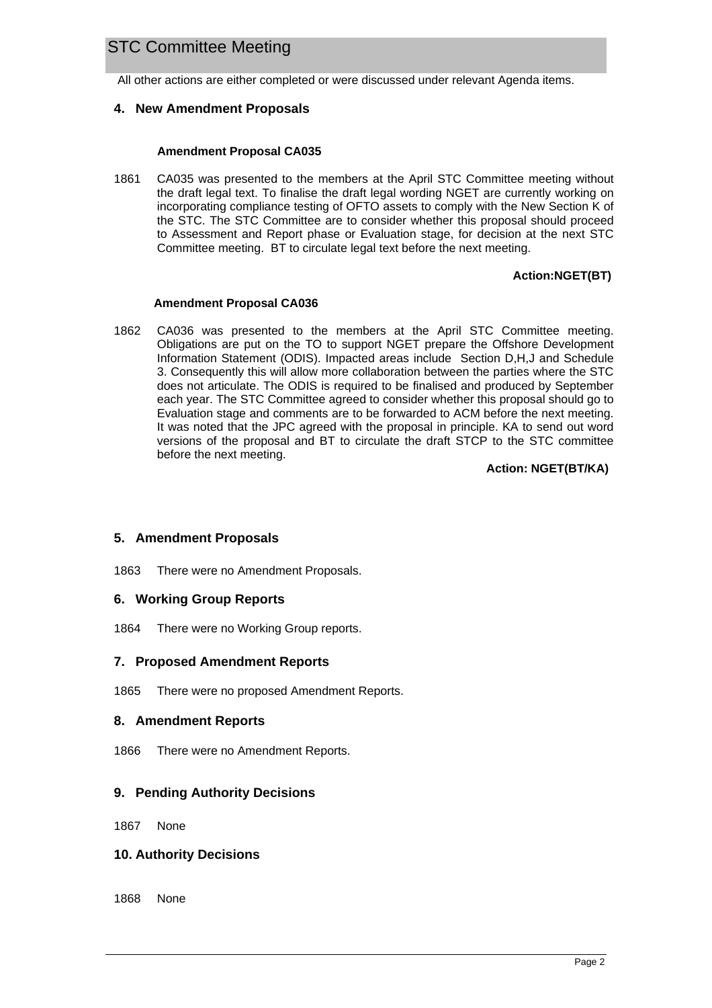# STC Committee Meeting

All other actions are either completed or were discussed under relevant Agenda items.

#### **4. New Amendment Proposals**

#### **Amendment Proposal CA035**

1861 CA035 was presented to the members at the April STC Committee meeting without the draft legal text. To finalise the draft legal wording NGET are currently working on incorporating compliance testing of OFTO assets to comply with the New Section K of the STC. The STC Committee are to consider whether this proposal should proceed to Assessment and Report phase or Evaluation stage, for decision at the next STC Committee meeting. BT to circulate legal text before the next meeting.

#### **Action:NGET(BT)**

#### **Amendment Proposal CA036**

1862 CA036 was presented to the members at the April STC Committee meeting. Obligations are put on the TO to support NGET prepare the Offshore Development Information Statement (ODIS). Impacted areas include Section D,H,J and Schedule 3. Consequently this will allow more collaboration between the parties where the STC does not articulate. The ODIS is required to be finalised and produced by September each year. The STC Committee agreed to consider whether this proposal should go to Evaluation stage and comments are to be forwarded to ACM before the next meeting. It was noted that the JPC agreed with the proposal in principle. KA to send out word versions of the proposal and BT to circulate the draft STCP to the STC committee before the next meeting.

**Action: NGET(BT/KA)** 

#### **5. Amendment Proposals**

1863 There were no Amendment Proposals.

#### **6. Working Group Reports**

1864 There were no Working Group reports.

#### **7. Proposed Amendment Reports**

1865 There were no proposed Amendment Reports.

#### **8. Amendment Reports**

1866 There were no Amendment Reports.

#### **9. Pending Authority Decisions**

1867 None

#### **10. Authority Decisions**

1868 None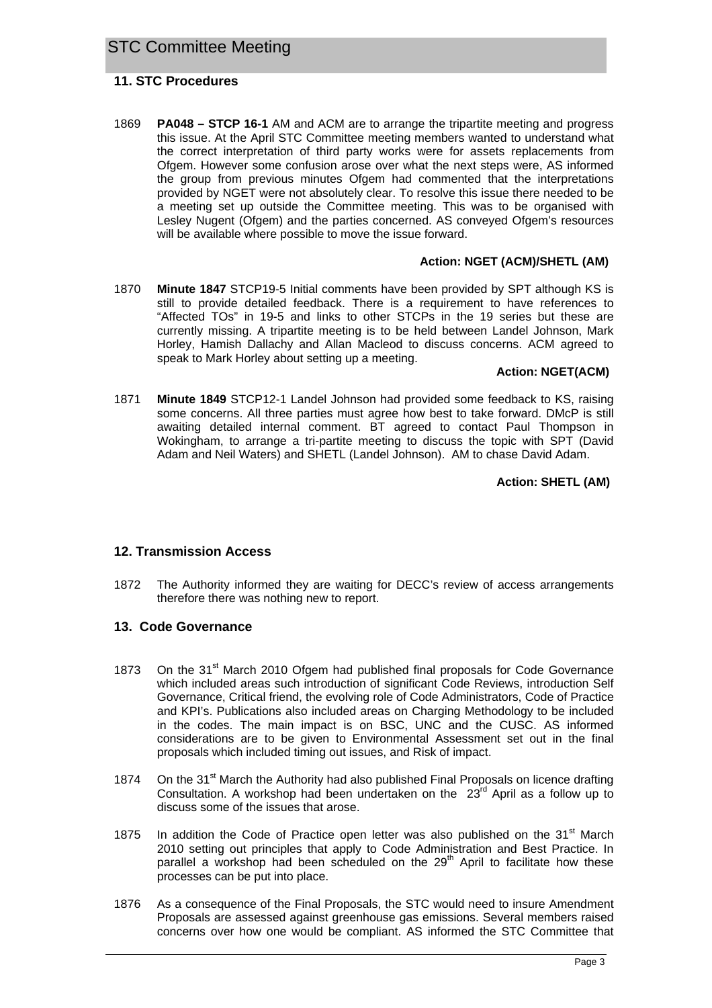### **11. STC Procedures**

1869 **PA048 – STCP 16-1** AM and ACM are to arrange the tripartite meeting and progress this issue. At the April STC Committee meeting members wanted to understand what the correct interpretation of third party works were for assets replacements from Ofgem. However some confusion arose over what the next steps were, AS informed the group from previous minutes Ofgem had commented that the interpretations provided by NGET were not absolutely clear. To resolve this issue there needed to be a meeting set up outside the Committee meeting. This was to be organised with Lesley Nugent (Ofgem) and the parties concerned. AS conveyed Ofgem's resources will be available where possible to move the issue forward.

#### **Action: NGET (ACM)/SHETL (AM)**

1870 **Minute 1847** STCP19-5 Initial comments have been provided by SPT although KS is still to provide detailed feedback. There is a requirement to have references to "Affected TOs" in 19-5 and links to other STCPs in the 19 series but these are currently missing. A tripartite meeting is to be held between Landel Johnson, Mark Horley, Hamish Dallachy and Allan Macleod to discuss concerns. ACM agreed to speak to Mark Horley about setting up a meeting.

#### **Action: NGET(ACM)**

1871 **Minute 1849** STCP12-1 Landel Johnson had provided some feedback to KS, raising some concerns. All three parties must agree how best to take forward. DMcP is still awaiting detailed internal comment. BT agreed to contact Paul Thompson in Wokingham, to arrange a tri-partite meeting to discuss the topic with SPT (David Adam and Neil Waters) and SHETL (Landel Johnson). AM to chase David Adam.

#### **Action: SHETL (AM)**

#### **12. Transmission Access**

1872 The Authority informed they are waiting for DECC's review of access arrangements therefore there was nothing new to report.

#### **13. Code Governance**

- 1873 On the 31<sup>st</sup> March 2010 Ofgem had published final proposals for Code Governance which included areas such introduction of significant Code Reviews, introduction Self Governance, Critical friend, the evolving role of Code Administrators, Code of Practice and KPI's. Publications also included areas on Charging Methodology to be included in the codes. The main impact is on BSC, UNC and the CUSC. AS informed considerations are to be given to Environmental Assessment set out in the final proposals which included timing out issues, and Risk of impact.
- 1874 On the 31<sup>st</sup> March the Authority had also published Final Proposals on licence drafting Consultation. A workshop had been undertaken on the  $23<sup>rd</sup>$  April as a follow up to discuss some of the issues that arose.
- 1875 In addition the Code of Practice open letter was also published on the  $31<sup>st</sup>$  March 2010 setting out principles that apply to Code Administration and Best Practice. In parallel a workshop had been scheduled on the  $29<sup>th</sup>$  April to facilitate how these processes can be put into place.
- 1876 As a consequence of the Final Proposals, the STC would need to insure Amendment Proposals are assessed against greenhouse gas emissions. Several members raised concerns over how one would be compliant. AS informed the STC Committee that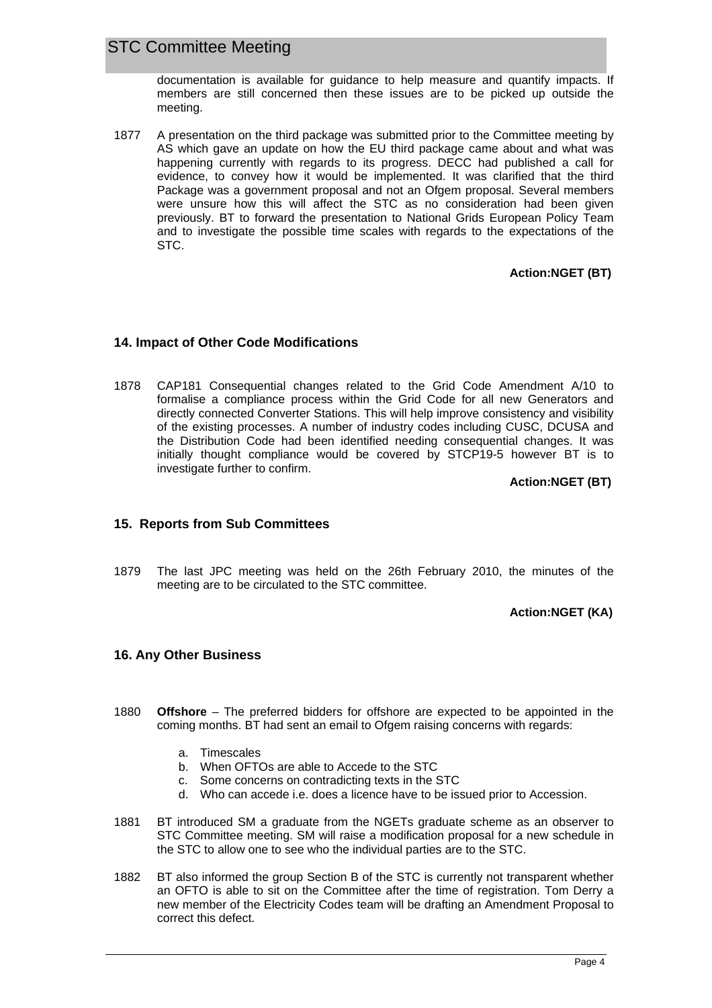# STC Committee Meeting

documentation is available for guidance to help measure and quantify impacts. If members are still concerned then these issues are to be picked up outside the meeting.

1877 A presentation on the third package was submitted prior to the Committee meeting by AS which gave an update on how the EU third package came about and what was happening currently with regards to its progress. DECC had published a call for evidence, to convey how it would be implemented. It was clarified that the third Package was a government proposal and not an Ofgem proposal. Several members were unsure how this will affect the STC as no consideration had been given previously. BT to forward the presentation to National Grids European Policy Team and to investigate the possible time scales with regards to the expectations of the STC.

#### **Action:NGET (BT)**

#### **14. Impact of Other Code Modifications**

1878 CAP181 Consequential changes related to the Grid Code Amendment A/10 to formalise a compliance process within the Grid Code for all new Generators and directly connected Converter Stations. This will help improve consistency and visibility of the existing processes. A number of industry codes including CUSC, DCUSA and the Distribution Code had been identified needing consequential changes. It was initially thought compliance would be covered by STCP19-5 however BT is to investigate further to confirm.

**Action:NGET (BT)** 

#### **15. Reports from Sub Committees**

1879 The last JPC meeting was held on the 26th February 2010, the minutes of the meeting are to be circulated to the STC committee.

#### **Action:NGET (KA)**

#### **16. Any Other Business**

- 1880 **Offshore** The preferred bidders for offshore are expected to be appointed in the coming months. BT had sent an email to Ofgem raising concerns with regards:
	- a. Timescales
	- b. When OFTOs are able to Accede to the STC
	- c. Some concerns on contradicting texts in the STC
	- d. Who can accede i.e. does a licence have to be issued prior to Accession.
- 1881 BT introduced SM a graduate from the NGETs graduate scheme as an observer to STC Committee meeting. SM will raise a modification proposal for a new schedule in the STC to allow one to see who the individual parties are to the STC.
- 1882 BT also informed the group Section B of the STC is currently not transparent whether an OFTO is able to sit on the Committee after the time of registration. Tom Derry a new member of the Electricity Codes team will be drafting an Amendment Proposal to correct this defect.